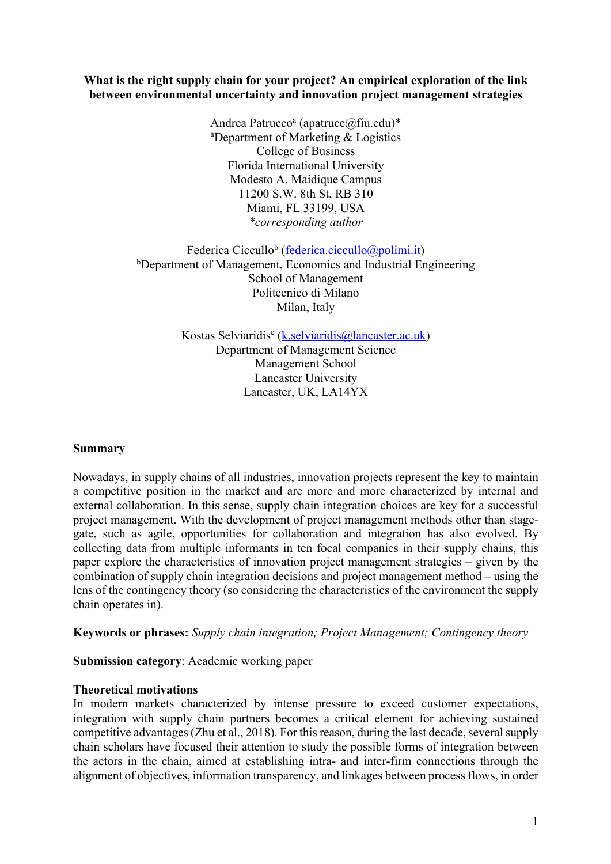### **What is the right supply chain for your project? An empirical exploration of the link between environmental uncertainty and innovation project management strategies**

Andrea Patrucco<sup>a</sup> (apatrucc $(a)$ fiu.edu)\* a Department of Marketing & Logistics College of Business Florida International University Modesto A. Maidique Campus 11200 S.W. 8th St, RB 310 Miami, FL 33199, USA *\*corresponding author*

Federica Ciccullo<sup>b</sup> (federica.ciccullo@polimi.it) <sup>b</sup>Department of Management, Economics and Industrial Engineering School of Management Politecnico di Milano Milan, Italy

> Kostas Selviaridis<sup>c</sup> (k.selviaridis@lancaster.ac.uk) Department of Management Science Management School Lancaster University Lancaster, UK, LA14YX

# **Summary**

Nowadays, in supply chains of all industries, innovation projects represent the key to maintain a competitive position in the market and are more and more characterized by internal and external collaboration. In this sense, supply chain integration choices are key for a successful project management. With the development of project management methods other than stagegate, such as agile, opportunities for collaboration and integration has also evolved. By collecting data from multiple informants in ten focal companies in their supply chains, this paper explore the characteristics of innovation project management strategies – given by the combination of supply chain integration decisions and project management method – using the lens of the contingency theory (so considering the characteristics of the environment the supply chain operates in).

**Keywords or phrases:** *Supply chain integration; Project Management; Contingency theory*

**Submission category**: Academic working paper

### **Theoretical motivations**

In modern markets characterized by intense pressure to exceed customer expectations, integration with supply chain partners becomes a critical element for achieving sustained competitive advantages (Zhu et al., 2018). For this reason, during the last decade, several supply chain scholars have focused their attention to study the possible forms of integration between the actors in the chain, aimed at establishing intra- and inter-firm connections through the alignment of objectives, information transparency, and linkages between process flows, in order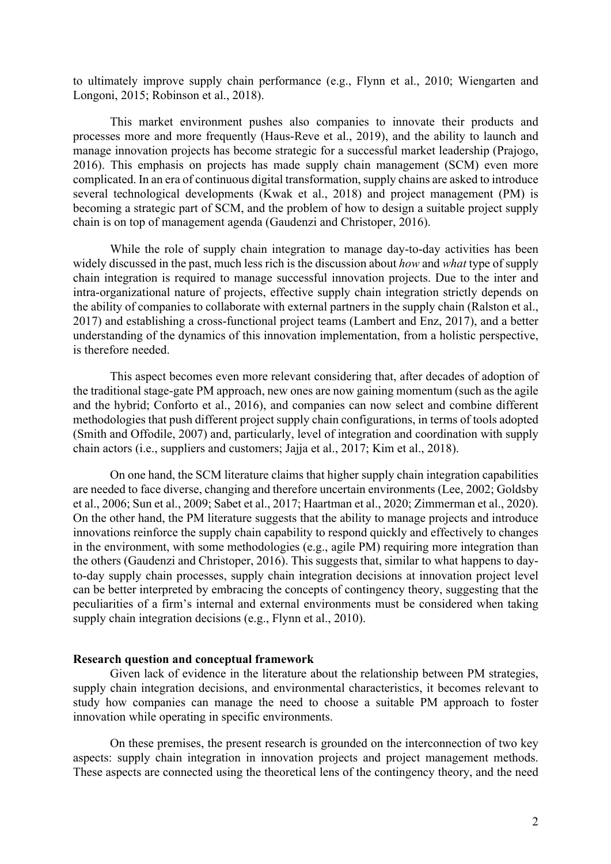to ultimately improve supply chain performance (e.g., Flynn et al., 2010; Wiengarten and Longoni, 2015; Robinson et al., 2018).

This market environment pushes also companies to innovate their products and processes more and more frequently (Haus-Reve et al., 2019), and the ability to launch and manage innovation projects has become strategic for a successful market leadership (Prajogo, 2016). This emphasis on projects has made supply chain management (SCM) even more complicated. In an era of continuous digital transformation, supply chains are asked to introduce several technological developments (Kwak et al., 2018) and project management (PM) is becoming a strategic part of SCM, and the problem of how to design a suitable project supply chain is on top of management agenda (Gaudenzi and Christoper, 2016).

While the role of supply chain integration to manage day-to-day activities has been widely discussed in the past, much less rich is the discussion about *how* and *what* type of supply chain integration is required to manage successful innovation projects. Due to the inter and intra-organizational nature of projects, effective supply chain integration strictly depends on the ability of companies to collaborate with external partners in the supply chain (Ralston et al., 2017) and establishing a cross-functional project teams (Lambert and Enz, 2017), and a better understanding of the dynamics of this innovation implementation, from a holistic perspective, is therefore needed.

This aspect becomes even more relevant considering that, after decades of adoption of the traditional stage-gate PM approach, new ones are now gaining momentum (such as the agile and the hybrid; Conforto et al., 2016), and companies can now select and combine different methodologies that push different project supply chain configurations, in terms of tools adopted (Smith and Offodile, 2007) and, particularly, level of integration and coordination with supply chain actors (i.e., suppliers and customers; Jajja et al., 2017; Kim et al., 2018).

On one hand, the SCM literature claims that higher supply chain integration capabilities are needed to face diverse, changing and therefore uncertain environments (Lee, 2002; Goldsby et al., 2006; Sun et al., 2009; Sabet et al., 2017; Haartman et al., 2020; Zimmerman et al., 2020). On the other hand, the PM literature suggests that the ability to manage projects and introduce innovations reinforce the supply chain capability to respond quickly and effectively to changes in the environment, with some methodologies (e.g., agile PM) requiring more integration than the others (Gaudenzi and Christoper, 2016). This suggests that, similar to what happens to dayto-day supply chain processes, supply chain integration decisions at innovation project level can be better interpreted by embracing the concepts of contingency theory, suggesting that the peculiarities of a firm's internal and external environments must be considered when taking supply chain integration decisions (e.g., Flynn et al., 2010).

#### **Research question and conceptual framework**

Given lack of evidence in the literature about the relationship between PM strategies, supply chain integration decisions, and environmental characteristics, it becomes relevant to study how companies can manage the need to choose a suitable PM approach to foster innovation while operating in specific environments.

On these premises, the present research is grounded on the interconnection of two key aspects: supply chain integration in innovation projects and project management methods. These aspects are connected using the theoretical lens of the contingency theory, and the need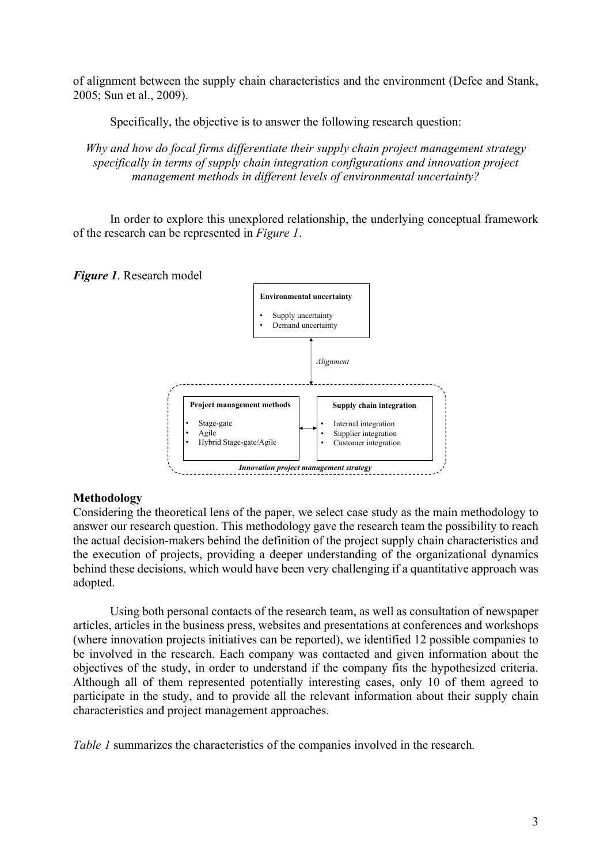of alignment between the supply chain characteristics and the environment (Defee and Stank, 2005; Sun et al., 2009).

Specifically, the objective is to answer the following research question:

*Why and how do focal firms differentiate their supply chain project management strategy specifically in terms of supply chain integration configurations and innovation project management methods in different levels of environmental uncertainty?*

In order to explore this unexplored relationship, the underlying conceptual framework of the research can be represented in *Figure 1*.





# **Methodology**

Considering the theoretical lens of the paper, we select case study as the main methodology to answer our research question. This methodology gave the research team the possibility to reach the actual decision-makers behind the definition of the project supply chain characteristics and the execution of projects, providing a deeper understanding of the organizational dynamics behind these decisions, which would have been very challenging if a quantitative approach was adopted.

Using both personal contacts of the research team, as well as consultation of newspaper articles, articles in the business press, websites and presentations at conferences and workshops (where innovation projects initiatives can be reported), we identified 12 possible companies to be involved in the research. Each company was contacted and given information about the objectives of the study, in order to understand if the company fits the hypothesized criteria. Although all of them represented potentially interesting cases, only 10 of them agreed to participate in the study, and to provide all the relevant information about their supply chain characteristics and project management approaches.

*Table 1* summarizes the characteristics of the companies involved in the research*.*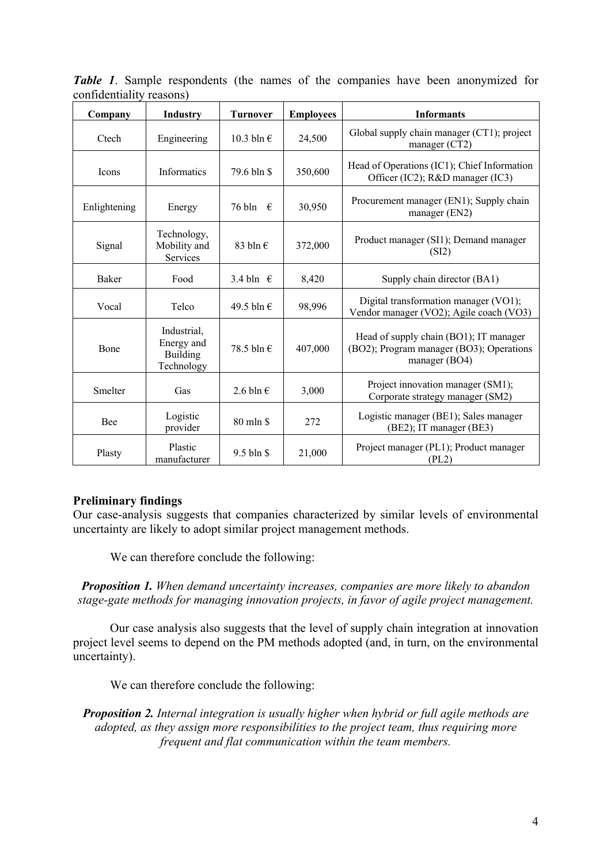*Table 1*. Sample respondents (the names of the companies have been anonymized for confidentiality reasons)

| Company      | <b>Industry</b>                                     | <b>Turnover</b>     | <b>Employees</b> | <b>Informants</b>                                                                                   |
|--------------|-----------------------------------------------------|---------------------|------------------|-----------------------------------------------------------------------------------------------------|
| Ctech        | Engineering                                         | 10.3 bln $\epsilon$ | 24,500           | Global supply chain manager (CT1); project<br>manger (CT2)                                          |
| Icons        | <b>Informatics</b>                                  | 79.6 bln \$         | 350,600          | Head of Operations (IC1); Chief Information<br>Officer (IC2); R&D manager (IC3)                     |
| Enlightening | Energy                                              | 76 bln $\epsilon$   | 30,950           | Procurement manager (EN1); Supply chain<br>manager (EN2)                                            |
| Signal       | Technology,<br>Mobility and<br>Services             | 83 bln $\in$        | 372,000          | Product manager (SI1); Demand manager<br>(SI2)                                                      |
| Baker        | Food                                                | 3.4 bln $\in$       | 8,420            | Supply chain director (BA1)                                                                         |
| Vocal        | Telco                                               | 49.5 bln $\in$      | 98,996           | Digital transformation manager (VO1);<br>Vendor manager (VO2); Agile coach (VO3)                    |
| Bone         | Industrial,<br>Energy and<br>Building<br>Technology | 78.5 bln €          | 407,000          | Head of supply chain (BO1); IT manager<br>(BO2); Program manager (BO3); Operations<br>manager (BO4) |
| Smelter      | Gas                                                 | 2.6 bln $\epsilon$  | 3,000            | Project innovation manager (SM1);<br>Corporate strategy manager (SM2)                               |
| Bee          | Logistic<br>provider                                | 80 mln \$           | 272              | Logistic manager (BE1); Sales manager<br>(BE2); IT manager (BE3)                                    |
| Plasty       | Plastic<br>manufacturer                             | $9.5 \text{ bh}$ \$ | 21,000           | Project manager (PL1); Product manager<br>(PL2)                                                     |

# **Preliminary findings**

Our case-analysis suggests that companies characterized by similar levels of environmental uncertainty are likely to adopt similar project management methods.

We can therefore conclude the following:

*Proposition 1. When demand uncertainty increases, companies are more likely to abandon stage-gate methods for managing innovation projects, in favor of agile project management.*

Our case analysis also suggests that the level of supply chain integration at innovation project level seems to depend on the PM methods adopted (and, in turn, on the environmental uncertainty).

We can therefore conclude the following:

*Proposition 2. Internal integration is usually higher when hybrid or full agile methods are adopted, as they assign more responsibilities to the project team, thus requiring more frequent and flat communication within the team members.*